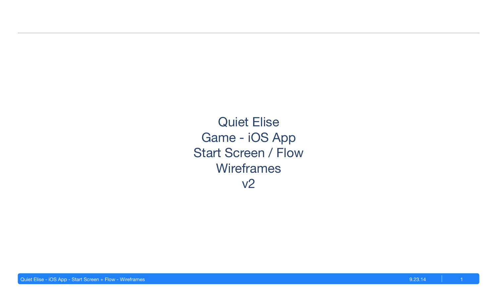Quiet Elise Game - iOS App Start Screen / Flow **Wireframes** 

v2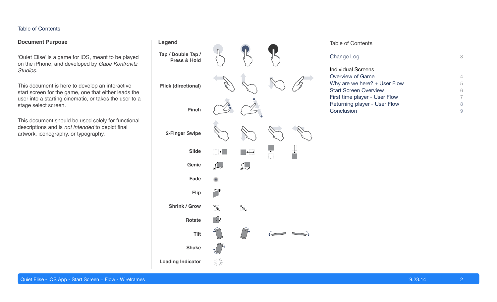#### Table of Contents

### **Document Purpose**

'Quiet Elise' is a game for iOS, meant to be played on the iPhone, and developed by *Gabe Kontrovitz Studios*.

This document is here to develop an interactive start screen for the game, one that either leads the user into a starting cinematic, or takes the user to a stage select screen.

This document should be used solely for functional descriptions and is *not intended* to depict final artwork, iconography, or typography.



### Table of Contents

# Change Log 3

| <b>Overview of Game</b><br>Why are we here? + User Flow<br><b>Start Screen Overview</b><br>First time player - User Flow<br><b>Returning player - User Flow</b> | <b>Individual Screens</b> |    |
|-----------------------------------------------------------------------------------------------------------------------------------------------------------------|---------------------------|----|
|                                                                                                                                                                 |                           |    |
|                                                                                                                                                                 |                           | 5. |
|                                                                                                                                                                 |                           | 6. |
|                                                                                                                                                                 |                           |    |
|                                                                                                                                                                 |                           | 8  |
|                                                                                                                                                                 | Conclusion                |    |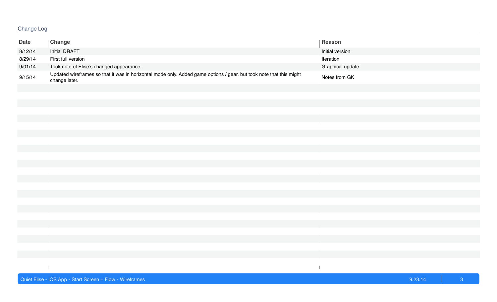### Change Log

| <b>Date</b> | Change                                                                                                                               | Reason           |
|-------------|--------------------------------------------------------------------------------------------------------------------------------------|------------------|
| 8/12/14     | <b>Initial DRAFT</b>                                                                                                                 | Initial version  |
| 8/29/14     | First full version                                                                                                                   | Iteration        |
| 9/01/14     | Took note of Elise's changed appearance.                                                                                             | Graphical update |
| 9/15/14     | Updated wireframes so that it was in horizontal mode only. Added game options / gear, but took note that this might<br>change later. | Notes from GK    |

 $\parallel$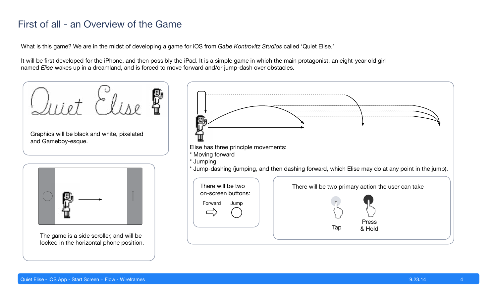# First of all - an Overview of the Game

What is this game? We are in the midst of developing a game for iOS from *Gabe Kontrovitz Studios* called 'Quiet Elise.'

It will be first developed for the iPhone, and then possibly the iPad. It is a simple game in which the main protagonist, an eight-year old girl named *Elise* wakes up in a dreamland, and is forced to move forward and/or jump-dash over obstacles.

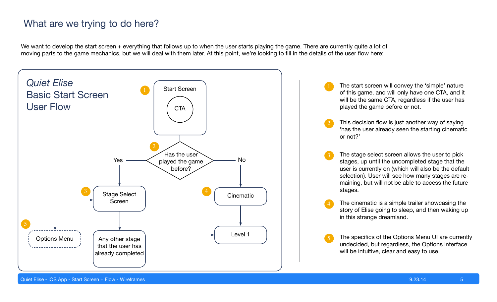## What are we trying to do here?

We want to develop the start screen + everything that follows up to when the user starts playing the game. There are currently quite a lot of moving parts to the game mechanics, but we will deal with them later. At this point, we're looking to fill in the details of the user flow here:



- The start screen will convey the 'simple' nature of this game, and will only have one CTA, and it will be the same CTA, regardless if the user has played the game before or not.
- This decision flow is just another way of saying 'has the user already seen the starting cinematic or not?'
- The stage select screen allows the user to pick stages, up until the uncompleted stage that the user is currently on (which will also be the default selection). User will see how many stages are remaining, but will not be able to access the future stages.
- The cinematic is a simple trailer showcasing the story of Elise going to sleep, and then waking up in this strange dreamland.
- The specifics of the Options Menu UI are currently undecided, but regardless, the Options interface will be intuitive, clear and easy to use.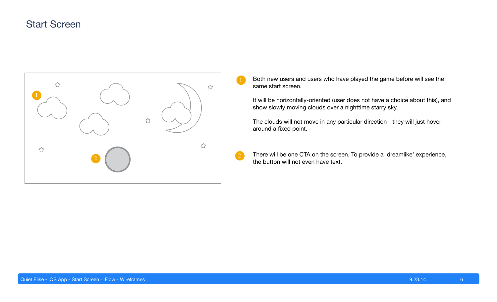

1 Both new users and users who have played the game before will see the same start screen.

It will be horizontally-oriented (user does not have a choice about this), and show slowly moving clouds over a nighttime starry sky.

The clouds will not move in any particular direction - they will just hover around a fixed point.

There will be one CTA on the screen. To provide a 'dreamlike' experience, the button will not even have text.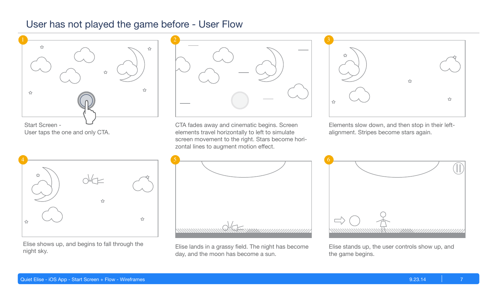### User has not played the game before - User Flow



User taps the one and only CTA.



CTA fades away and cinematic begins. Screen elements travel horizontally to left to simulate screen movement to the right. Stars become horizontal lines to augment motion effect.



Elements slow down, and then stop in their leftalignment. Stripes become stars again.



Elise shows up, and begins to fall through the

Elise lands in a grassy field. The night has become day, and the moon has become a sun.



Elise stands up, the user controls show up, and the game begins.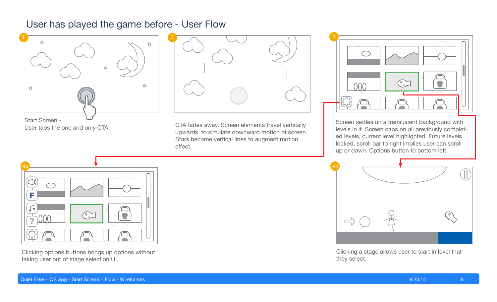# User has played the game before - User Flow



2  $\bigcap_{\lambda}$  (a)

CTA fades away. Screen elements travel vertically upwards, to simulate downward motion of screen. Stars become vertical lines to augment motion effect.



Screen settles on a translucent background with levels in it. Screen caps on all previously completed levels, current level highlighted. Future levels locked, scroll bar to right implies user can scroll up or down. Options button to bottom left.



Clicking a stage allows user to start in level that they select.



Clicking options buttons brings up options without taking user out of stage selection UI.